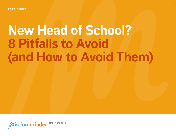# **New Head of School? 8 Pitfalls to Avoid (and How to Avoid Them)**

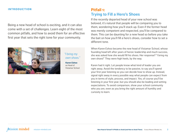#### INTRODUCTION **Pitfall 1:**

Being a new head of school is exciting, and it can also come with a set of challenges. Learn eight of the most common pitfalls, and how to avoid them for an effective first year that sets the right tone for your community.



#### *"I bring my own shoes."*

**Karen Eshoo** as Head of Vistamar School

# **Trying to Fill a Hero's Shoes**

If the recently departed head of your new school was beloved, it's natural that people will be comparing you to them, wondering how you'll stack up. Even if the former head was merely competent and respected, you'll be compared to them. This can be daunting for a new head so before you take the bait on how you'll fill a hero's shoes, consider how to set a different tone.

When Karen Eshoo became the new head of Vistamar School, whose founding head left after years of heroic leadership and much success, she was asked how she would fill his shoes. Her response? "I bring my own shoes!" They were high heels, by the way.

Karen had it right. Let people know what kind of leader you are right away. Avoid the tendency to be passive, to say you'll spend your first year listening so you can decide how to show up. Instead, signal right away in every possible way what people can expect from you in terms of style, process, and impact. Yes, of course you'll be listening in your first year, but you should also be leading and setting expectations. To avoid comparison, show your school community who you are, even as you bring the right amount of humility and curiosity to learn.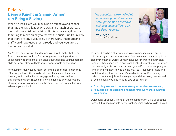#### **Pitfall 2: Being a Knight in Shining Armor (or: Being a Savior)**

While it's less likely, you may also be taking over a school that had a crisis, a leader who was a mismatch or worse, a head who was disliked or let go. If this is the case, it can be tempting to move quickly to "solve" the crisis. But it's unlikely that there are any quick fixes. If there were, the board and staff would have used them already and you wouldn't be handed a crisis at all.

You're not there to save the day, and you should make that clear from day one. You're there for the long term, bringing vision and sustainability to the school. So, once again, defining your leadership style early and often will help you set appropriate expectations.

For example, many heads regret setting the open-door policy that effectively allows others to dictate how they spend their time. Instead, avoid the instinct to engage in the day-to-day dramas that inevitably arise. These can likely be handled by other leaders, allowing you to stay focused on the bigger picture issues that truly advance your school.

*"As educators, we're skilled at empowering our students to solve problems on their own it should be no different with our direct reports."* 

**Doug Lagarde** as Head of Severn School



Related, it can be a challenge not to micromanage your team, but micromanaging is never the answer. Yet many new heads jump in to closely monitor, or worse, actually take over the work of a division head or other leader, which only complicates the problem. If you were most recently a division head or dean yourself, it can be tempting to jump in and tell them how to do the job. You'll feel comfortable and confident doing that, because it's familiar territory. But running a division is not your job, and when you spend time doing that instead of being a head, you'll be missing two opportunities:

- **1. Coaching leaders to become stronger problem solvers and,**
- **2. Focusing on the visioning and leadership work that advances your school.**

Delegating effectively is one of the most important skills of effective heads. If it's uncomfortable for you, get coaching on how to do this well.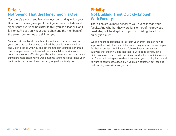## **Pitfall 3: Not Seeing That the Honeymoon is Over**

Yes, there's a warm and fuzzy honeymoon during which your Board of Trustees gives you lots of generous accolades and signals that everyone has utter faith in you as a leader. Don't fall for it. At best, only your board chair and the members of the search committee are all in on you.

Your job is to double the number of board supporters you have in your corner as quickly as you can. Find the people who are values and vision-aligned with you and get them to join your booster group. The more people on the board whose rock solid support you can count on, the more effective you'll be, when times are good and when things are more challenging. Don't assume your entire board has your back, make sure you cultivate a core group who actually do.

#### **Pitfall 4: Not Building Trust Quickly Enough With Faculty**

There's no group more critical to your success than your faculty. And whether they were fans or not of the previous head, they will be skeptical of you. So building their trust quickly is a must.

While it might be tempting to tell them your great ideas on how to improve the curriculum, your job now is to signal your sincere respect for their expertise. (And if you don't have that sincere respect, cultivate that quickly. Being inauthentic will not be constructive.) Sit in on classes, watch, ask questions, but don't offer opinions early on. Do be in listening mode when it comes to your faculty. It's natural to want to contribute, especially if you're an educator, but listening and learning now will serve you later.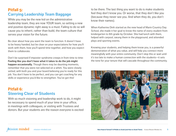#### **Pitfall 5: Carrying Leadership Team Baggage**

While you may be the new kid on the administrative leadership team, they are now YOUR team, so setting a new and positive dynamic right away is a must. Failing to do so will cause you to inherit, rather than build, the team culture that serves your vision for the future.

Be clear about how you want the team to function. It doesn't have to be heavy handed, but be clear on your expectations for how you'll work with them, how you'll spend time together, and how you expect them to collaborate.

Don't be surprised if imposter syndrome creeps in from time to time: **Feeling like you don't have what it takes to do the job might happen occasionally.** Though there may be daunting moments, remember that you were not selected on a whim. You were closely vetted, with both you and your board believing you're ready for this job. You don't have to be perfect, and you can get coaching for any skills or experience you'd like to strengthen. You've got this!

## **Pitfall 6: Steering Clear of Students**

With so much visioning and leadership work to do, it might be necessary to spend much of your time in your office, in meetings with colleagues, or visiting with Trustees and donors. But your students are the reason everyone is excited to be there. The last thing you want to do is make students feel they don't know you. Or worse, that they don't like you (because they never see you. And when they do, you don't know their names).

When Katherine Dinh started as the new head of Marin Country Day School, she made it her goal to know the name of every student from kindergarten to 8th grade by October. She had lunch with them, helped with carpool, swung them in the playground, and attended plays and sporting events.

Knowing your students, and helping them know you, is a powerful demonstration of what you value, and will help you connect more meaningfully with your entire community. Don't skip this or wait until it's too late to make a human connection with the students—it sets the tone for your tenure that will cascade throughout the community.